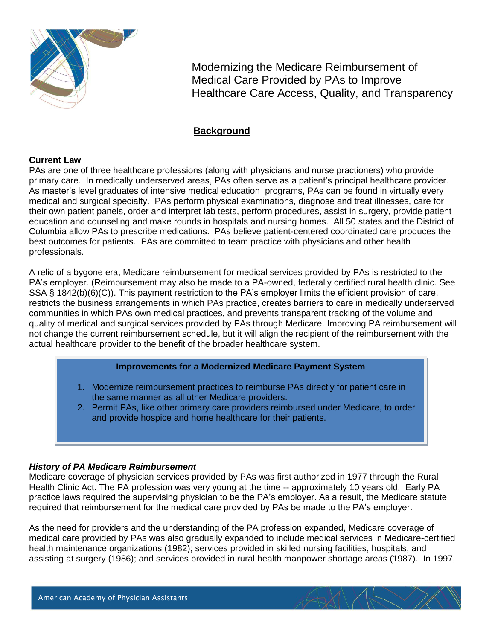

Modernizing the Medicare Reimbursement of Medical Care Provided by PAs to Improve Healthcare Care Access, Quality, and Transparency

# **Background**

### **Current Law**

PAs are one of three healthcare professions (along with physicians and nurse practioners) who provide primary care. In medically underserved areas, PAs often serve as a patient's principal healthcare provider. As master's level graduates of intensive medical education programs, PAs can be found in virtually every medical and surgical specialty. PAs perform physical examinations, diagnose and treat illnesses, care for their own patient panels, order and interpret lab tests, perform procedures, assist in surgery, provide patient education and counseling and make rounds in hospitals and nursing homes. All 50 states and the District of Columbia allow PAs to prescribe medications. PAs believe patient-centered coordinated care produces the best outcomes for patients. PAs are committed to team practice with physicians and other health professionals.

A relic of a bygone era, Medicare reimbursement for medical services provided by PAs is restricted to the PA's employer. (Reimbursement may also be made to a PA-owned, federally certified rural health clinic. See SSA § 1842(b)(6)(C)). This payment restriction to the PA's employer limits the efficient provision of care, restricts the business arrangements in which PAs practice, creates barriers to care in medically underserved communities in which PAs own medical practices, and prevents transparent tracking of the volume and quality of medical and surgical services provided by PAs through Medicare. Improving PA reimbursement will not change the current reimbursement schedule, but it will align the recipient of the reimbursement with the actual healthcare provider to the benefit of the broader healthcare system.

### **Improvements for a Modernized Medicare Payment System**

- 1. Modernize reimbursement practices to reimburse PAs directly for patient care in the same manner as all other Medicare providers.
- 2. Permit PAs, like other primary care providers reimbursed under Medicare, to order and provide hospice and home healthcare for their patients.

### *History of PA Medicare Reimbursement*

Medicare coverage of physician services provided by PAs was first authorized in 1977 through the Rural Health Clinic Act. The PA profession was very young at the time -- approximately 10 years old. Early PA practice laws required the supervising physician to be the PA's employer. As a result, the Medicare statute required that reimbursement for the medical care provided by PAs be made to the PA's employer.

As the need for providers and the understanding of the PA profession expanded, Medicare coverage of medical care provided by PAs was also gradually expanded to include medical services in Medicare-certified health maintenance organizations (1982); services provided in skilled nursing facilities, hospitals, and assisting at surgery (1986); and services provided in rural health manpower shortage areas (1987). In 1997,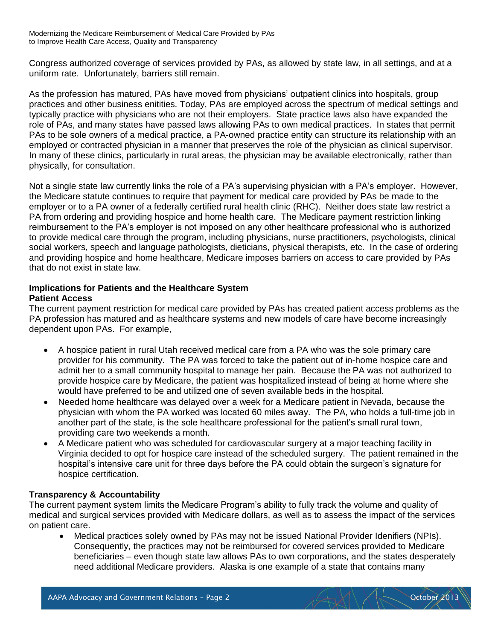Congress authorized coverage of services provided by PAs, as allowed by state law, in all settings, and at a uniform rate. Unfortunately, barriers still remain.

As the profession has matured, PAs have moved from physicians' outpatient clinics into hospitals, group practices and other business enitities. Today, PAs are employed across the spectrum of medical settings and typically practice with physicians who are not their employers. State practice laws also have expanded the role of PAs, and many states have passed laws allowing PAs to own medical practices. In states that permit PAs to be sole owners of a medical practice, a PA-owned practice entity can structure its relationship with an employed or contracted physician in a manner that preserves the role of the physician as clinical supervisor. In many of these clinics, particularly in rural areas, the physician may be available electronically, rather than physically, for consultation.

Not a single state law currently links the role of a PA's supervising physician with a PA's employer. However, the Medicare statute continues to require that payment for medical care provided by PAs be made to the employer or to a PA owner of a federally certified rural health clinic (RHC). Neither does state law restrict a PA from ordering and providing hospice and home health care. The Medicare payment restriction linking reimbursement to the PA's employer is not imposed on any other healthcare professional who is authorized to provide medical care through the program, including physicians, nurse practitioners, psychologists, clinical social workers, speech and language pathologists, dieticians, physical therapists, etc. In the case of ordering and providing hospice and home healthcare, Medicare imposes barriers on access to care provided by PAs that do not exist in state law.

#### **Implications for Patients and the Healthcare System Patient Access**

The current payment restriction for medical care provided by PAs has created patient access problems as the PA profession has matured and as healthcare systems and new models of care have become increasingly dependent upon PAs. For example,

- A hospice patient in rural Utah received medical care from a PA who was the sole primary care provider for his community. The PA was forced to take the patient out of in-home hospice care and admit her to a small community hospital to manage her pain. Because the PA was not authorized to provide hospice care by Medicare, the patient was hospitalized instead of being at home where she would have preferred to be and utilized one of seven available beds in the hospital.
- Needed home healthcare was delayed over a week for a Medicare patient in Nevada, because the physician with whom the PA worked was located 60 miles away. The PA, who holds a full-time job in another part of the state, is the sole healthcare professional for the patient's small rural town, providing care two weekends a month.
- A Medicare patient who was scheduled for cardiovascular surgery at a major teaching facility in Virginia decided to opt for hospice care instead of the scheduled surgery. The patient remained in the hospital's intensive care unit for three days before the PA could obtain the surgeon's signature for hospice certification.

# **Transparency & Accountability**

The current payment system limits the Medicare Program's ability to fully track the volume and quality of medical and surgical services provided with Medicare dollars, as well as to assess the impact of the services on patient care.

 Medical practices solely owned by PAs may not be issued National Provider Idenifiers (NPIs). Consequently, the practices may not be reimbursed for covered services provided to Medicare beneficiaries – even though state law allows PAs to own corporations, and the states desperately need additional Medicare providers. Alaska is one example of a state that contains many